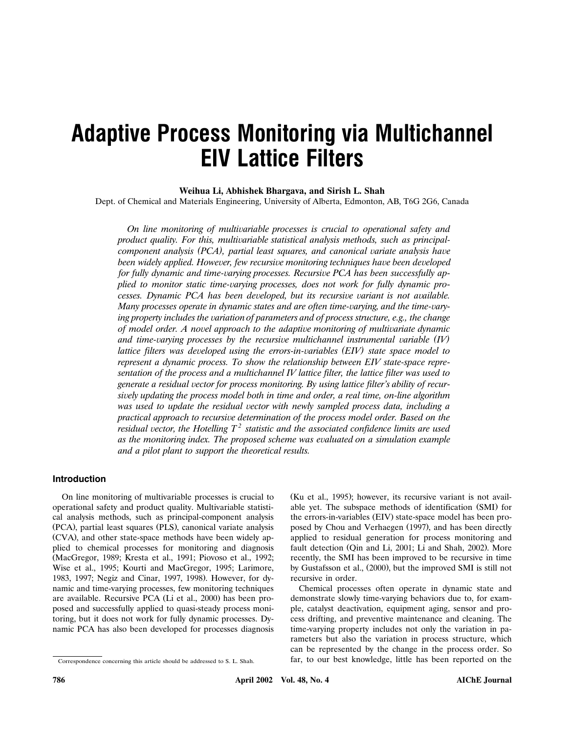# **Adaptive Process Monitoring via Multichannel EIV Lattice Filters**

**Weihua Li, Abhishek Bhargava, and Sirish L. Shah**

Dept. of Chemical and Materials Engineering, University of Alberta, Edmonton, AB, T6G 2G6, Canada

*On line monitoring of multivariable processes is crucial to operational safety and* product quality. For this, multivariable statistical analysis methods, such as principal*component analysis (PCA), partial least squares, and canonical variate analysis have been widely applied. Howe*®*er, few recursi*®*e monitoring techniques ha*®*e been de*®*eloped for fully dynamic and time-*®*arying processes. Recursi*®*e PCA has been successfully applied to monitor static time-*®*arying processes, does not work for fully dynamic processes. Dynamic PCA has been de*®*eloped, but its recursi*®*e* ®*ariant is not a*®*ailable. Many processes operate in dynamic states and are often time-varying, and the time-varying property includes the variation of parameters and of process structure, e.g., the change of model order. A no*®*el approach to the adapti*®*e monitoring of multi*®*ariate dynamic* and time-varying processes by the recursive multichannel instrumental variable  $\overline{IV}$ ) *lattice filters was developed using the errors-in-variables (EIV) state space model to represent a dynamic process. To show the relationship between EIV state-space representation of the process and a multichannel IV lattice filter, the lattice filter was used to generate a residual vector for process monitoring. By using lattice filter's ability of recursi*®*ely updating the process model both in time and order, a real time, on-line algorithm was used to update the residual vector with newly sampled process data, including a practical approach to recursi*®*e determination of the process model order. Based on the residual vector, the Hotelling*  $T^2$  *statistic and the associated confidence limits are used as the monitoring index. The proposed scheme was e*®*aluated on a simulation example and a pilot plant to support the theoretical results.*

# **Introduction**

On line monitoring of multivariable processes is crucial to operational safety and product quality. Multivariable statistical analysis methods, such as principal-component analysis (PCA), partial least squares (PLS), canonical variate analysis (CVA), and other state-space methods have been widely applied to chemical processes for monitoring and diagnosis (MacGregor, 1989; Kresta et al., 1991; Piovoso et al., 1992; Wise et al., 1995; Kourti and MacGregor, 1995; Larimore, 1983, 1997; Negiz and Cinar, 1997, 1998). However, for dynamic and time-varying processes, few monitoring techniques are available. Recursive PCA (Li et al., 2000) has been proposed and successfully applied to quasi-steady process monitoring, but it does not work for fully dynamic processes. Dynamic PCA has also been developed for processes diagnosis

(Ku et al., 1995); however, its recursive variant is not available yet. The subspace methods of identification (SMI) for the errors-in-variables (EIV) state-space model has been proposed by Chou and Verhaegen (1997), and has been directly applied to residual generation for process monitoring and fault detection (Qin and Li, 2001; Li and Shah, 2002). More recently, the SMI has been improved to be recursive in time by Gustafsson et al., (2000), but the improved SMI is still not recursive in order.

Chemical processes often operate in dynamic state and demonstrate slowly time-varying behaviors due to, for example, catalyst deactivation, equipment aging, sensor and process drifting, and preventive maintenance and cleaning. The time-varying property includes not only the variation in parameters but also the variation in process structure, which can be represented by the change in the process order. So far, to our best knowledge, little has been reported on the

Correspondence concerning this article should be addressed to S. L. Shah.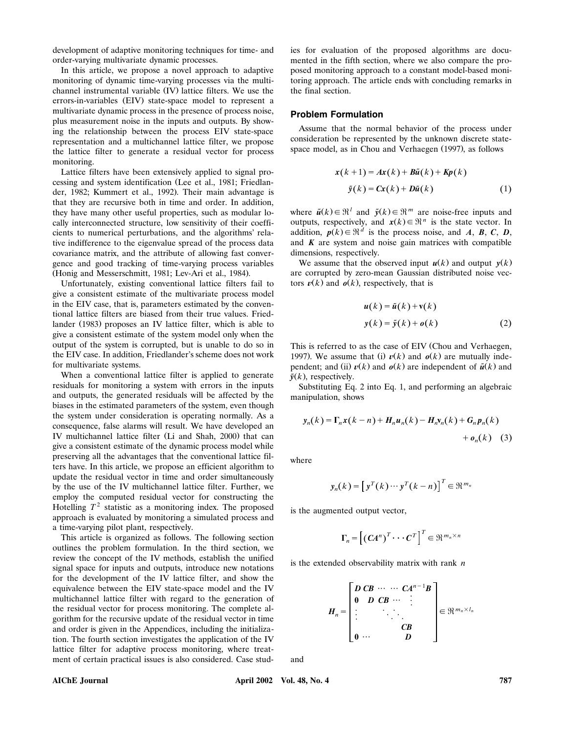development of adaptive monitoring techniques for time- and order-varying multivariate dynamic processes.

In this article, we propose a novel approach to adaptive monitoring of dynamic time-varying processes via the multichannel instrumental variable (IV) lattice filters. We use the errors-in-variables (EIV) state-space model to represent a multivariate dynamic process in the presence of process noise, plus measurement noise in the inputs and outputs. By showing the relationship between the process EIV state-space representation and a multichannel lattice filter, we propose the lattice filter to generate a residual vector for process monitoring.

Lattice filters have been extensively applied to signal processing and system identification (Lee et al., 1981; Friedlander, 1982; Kummert et al., 1992). Their main advantage is that they are recursive both in time and order. In addition, they have many other useful properties, such as modular locally interconnected structure, low sensitivity of their coefficients to numerical perturbations, and the algorithms' relative indifference to the eigenvalue spread of the process data covariance matrix, and the attribute of allowing fast convergence and good tracking of time-varying process variables (Honig and Messerschmitt, 1981; Lev-Ari et al., 1984).

Unfortunately, existing conventional lattice filters fail to give a consistent estimate of the multivariate process model in the EIV case, that is, parameters estimated by the conventional lattice filters are biased from their true values. Friedlander (1983) proposes an IV lattice filter, which is able to give a consistent estimate of the system model only when the output of the system is corrupted, but is unable to do so in the EIV case. In addition, Friedlander's scheme does not work for multivariate systems.

When a conventional lattice filter is applied to generate residuals for monitoring a system with errors in the inputs and outputs, the generated residuals will be affected by the biases in the estimated parameters of the system, even though the system under consideration is operating normally. As a consequence, false alarms will result. We have developed an IV multichannel lattice filter (Li and Shah, 2000) that can give a consistent estimate of the dynamic process model while preserving all the advantages that the conventional lattice filters have. In this article, we propose an efficient algorithm to update the residual vector in time and order simultaneously by the use of the IV multichannel lattice filter. Further, we employ the computed residual vector for constructing the Hotelling  $T^2$  statistic as a monitoring index. The proposed approach is evaluated by monitoring a simulated process and a time-varying pilot plant, respectively.

This article is organized as follows. The following section outlines the problem formulation. In the third section, we review the concept of the IV methods, establish the unified signal space for inputs and outputs, introduce new notations for the development of the IV lattice filter, and show the equivalence between the EIV state-space model and the IV multichannel lattice filter with regard to the generation of the residual vector for process monitoring. The complete algorithm for the recursive update of the residual vector in time and order is given in the Appendices, including the initialization. The fourth section investigates the application of the IV lattice filter for adaptive process monitoring, where treatment of certain practical issues is also considered. Case studies for evaluation of the proposed algorithms are documented in the fifth section, where we also compare the proposed monitoring approach to a constant model-based monitoring approach. The article ends with concluding remarks in the final section.

### **Problem Formulation**

Assume that the normal behavior of the process under consideration be represented by the unknown discrete statespace model, as in Chou and Verhaegen (1997), as follows

$$
x(k+1) = Ax(k) + B\tilde{u}(k) + Kp(k)
$$
  

$$
\tilde{y}(k) = Cx(k) + D\tilde{u}(k)
$$
 (1)

where  $\tilde{u}(k) \in \mathbb{R}^l$  and  $\tilde{y}(k) \in \mathbb{R}^m$  are noise-free inputs and outputs, respectively, and  $x(k) \in \mathbb{R}^n$  is the state vector. In addition,  $p(k) \in \mathbb{R}^d$  is the process noise, and *A*, *B*, *C*, *D*, and *K* are system and noise gain matrices with compatible dimensions, respectively.

We assume that the observed input  $u(k)$  and output  $y(k)$ are corrupted by zero-mean Gaussian distributed noise vectors  $v(k)$  and  $o(k)$ , respectively, that is

$$
u(k) = \tilde{u}(k) + v(k)
$$
  

$$
y(k) = \tilde{y}(k) + o(k)
$$
 (2)

This is referred to as the case of EIV (Chou and Verhaegen, 1997). We assume that (i)  $v(k)$  and  $o(k)$  are mutually independent; and (ii)  $v(k)$  and  $o(k)$  are independent of  $\tilde{u}(k)$  and  $\tilde{y}(k)$ , respectively.

Substituting Eq. 2 into Eq. 1, and performing an algebraic manipulation, shows

$$
y_n(k) = \Gamma_n x(k - n) + H_n u_n(k) - H_n v_n(k) + G_n p_n(k)
$$
  
+ 
$$
\theta_n(k)
$$
 (3)

where

$$
\mathbf{y}_n(k) = \left[\,\mathbf{y}^T(k)\cdots\mathbf{y}^T(k-n)\right]^T \in \mathfrak{R}^{m_n}
$$

is the augmented output vector,

$$
\boldsymbol{\Gamma}_n = \left[ \left( \boldsymbol{C} \boldsymbol{A}^n \right)^T \cdots \boldsymbol{C}^T \right]^T \in \mathfrak{R}^{m_n \times n}
$$

is the extended observability matrix with rank *n*

$$
H_n = \begin{bmatrix} D CB & \cdots & \cdots & CA^{n-1}B \\ 0 & D CB & \cdots & \vdots \\ \vdots & & \ddots & \ddots & \\ & & & CB & \\ 0 & \cdots & & D & \end{bmatrix} \in \mathfrak{R}^{m_n \times l_n}
$$

and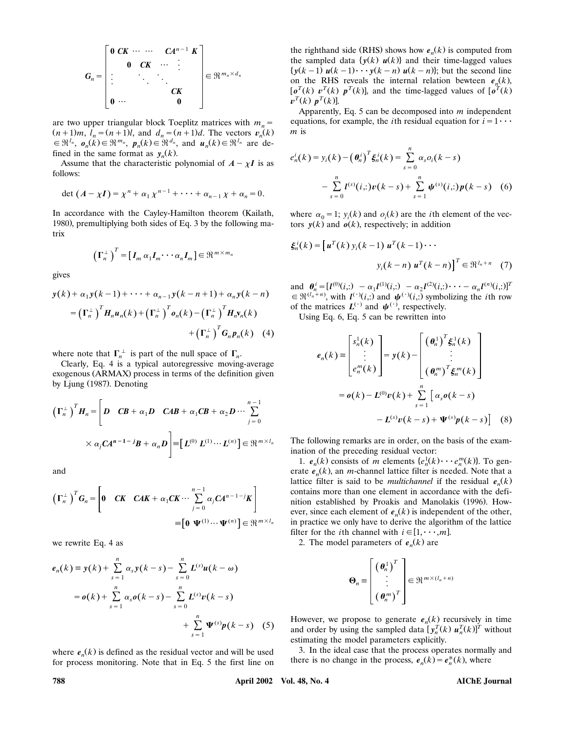$$
G_n = \begin{bmatrix} 0 & CK & \cdots & \cdots & CA^{n-1} & K \\ 0 & CK & \cdots & \vdots & \vdots & \ddots & \vdots & \vdots & \vdots & \ddots & \vdots & \vdots & \vdots & \ddots & \vdots & \vdots & \vdots & \ddots & \vdots & \vdots & \vdots & \ddots & \vdots & \vdots & \ddots & \vdots & \vdots & \ddots & \vdots & \vdots & \ddots & \vdots & \vdots & \ddots & \vdots & \vdots & \ddots & \vdots & \vdots & \ddots & \vdots & \vdots & \ddots & \vdots & \vdots & \ddots & \vdots & \ddots & \vdots & \vdots & \ddots & \vdots & \vdots & \ddots & \vdots & \ddots & \vdots & \vdots & \ddots & \vdots & \ddots & \vdots & \vdots & \ddots & \vdots & \ddots & \vdots & \vdots & \ddots & \vdots & \ddots & \vdots & \vdots & \ddots & \vdots & \ddots & \vdots & \vdots & \ddots & \vdots & \ddots & \vdots & \vdots & \ddots & \vdots & \ddots & \vdots & \ddots & \vdots & \vdots & \ddots & \vdots & \ddots & \vdots & \vdots & \ddots & \vdots & \ddots & \vdots & \ddots & \vdots & \vdots & \ddots & \vdots & \ddots & \vdots & \ddots & \vdots & \ddots & \vdots & \ddots & \vdots & \ddots & \vdots & \ddots & \vdots & \ddots & \vdots & \ddots & \vdots & \ddots & \vdots & \ddots & \vdots & \ddots & \vdots & \ddots & \vdots & \ddots & \vdots & \ddots & \vdots & \ddots & \vdots & \ddots & \vdots & \ddots & \vdots & \ddots & \vdots & \ddots & \vdots & \ddots & \vdots & \ddots & \vdots & \ddots & \vdots & \ddots & \vdots & \ddots & \vdots & \ddots & \vdots & \ddots & \vdots & \ddots & \vdots & \ddots & \vdots & \ddots & \vdots & \ddots & \vdots & \ddots & \vdots & \ddots & \vdots & \ddots & \vdots & \ddots & \vdots & \ddots & \vdots & \ddots & \vdots & \ddots & \vdots & \ddots & \vdots & \ddots & \vdots & \ddots
$$

are two upper triangular block Toeplitz matrices with  $m_n = (n+1)m$ ,  $l_n = (n+1)l$ , and  $d_n = (n+1)d$ . The vectors  $v_n(k)$  $\in \mathfrak{R}^{l_n}$ ,  $o_n(k) \in \mathfrak{R}^{m_n}$ ,  $p_n(k) \in \mathfrak{R}^{d_n}$ , and  $u_n(k) \in \mathfrak{R}^{l_n}$  are defined in the same format as  $y_n(k)$ .

Assume that the characteristic polynomial of  $A - \chi I$  is as follows:

$$
\det (A - \chi I) = \chi^{n} + \alpha_1 \chi^{n-1} + \cdots + \alpha_{n-1} \chi + \alpha_n = 0.
$$

In accordance with the Cayley-Hamilton theorem (Kailath, 1980), premultiplying both sides of Eq. 3 by the following matrix

$$
\left(\Gamma_n^{\perp}\right)^T = \left[\mathbf{I}_m \,\alpha_1 \mathbf{I}_m \cdots \alpha_n \mathbf{I}_m\right] \in \mathfrak{R}^{m \times m_n}
$$

gives

$$
y(k) + \alpha_1 y(k-1) + \cdots + \alpha_{n-1} y(k-n+1) + \alpha_n y(k-n)
$$
  
=  $(\Gamma_n^{\perp})^T H_n u_n(k) + (\Gamma_n^{\perp})^T o_n(k) - (\Gamma_n^{\perp})^T H_n v_n(k)$   
+  $(\Gamma_n^{\perp})^T G_n p_n(k)$  (4)

where note that  $\Gamma_n^{\perp}$  is part of the null space of  $\Gamma_n$ .

Clearly, Eq. 4 is a typical autoregressive moving-average exogenous (ARMAX) process in terms of the definition given by Ljung (1987). Denoting

$$
\left(\Gamma_n^{\perp}\right)^T H_n = \left[D \quad CB + \alpha_1 D \quad CAB + \alpha_1 CB + \alpha_2 D \cdots \sum_{j=0}^{n-1} \times \alpha_j CA^{n-1-j} B + \alpha_n D\right] \equiv \left[L^{(0)} L^{(1)} \cdots L^{(n)}\right] \in \mathbb{R}^{m \times l_n}
$$

and

$$
\left(\Gamma_n^{\perp}\right)^T G_n = \begin{bmatrix} 0 & C K & C A K + \alpha_1 C K & \cdots & \sum_{j=0}^{n-1} \alpha_j C A^{n-1-j} K \end{bmatrix}
$$

$$
= \begin{bmatrix} 0 & \Psi^{(1)} \cdots \Psi^{(n)} \end{bmatrix} \in \mathfrak{R}^{m \times l_n}
$$

we rewrite Eq. 4 as

$$
e_n(k) = y(k) + \sum_{s=1}^n \alpha_s y(k-s) - \sum_{s=0}^n L^{(s)} u(k-\omega)
$$
  
=  $o(k) + \sum_{s=1}^n \alpha_s o(k-s) - \sum_{s=0}^n L^{(s)} v(k-s)$   
+  $\sum_{s=1}^n \Psi^{(s)} p(k-s)$  (5)

where  $e_n(k)$  is defined as the residual vector and will be used for process monitoring. Note that in Eq. 5 the first line on

the righthand side (RHS) shows how  $e_n(k)$  is computed from the sampled data  $\{y(k) \mid u(k)\}$  and their time-lagged values  $\{y(k-1)$   $u(k-1)\cdots y(k-n)$   $u(k-n)$ ; but the second line on the RHS reveals the internal relation bewteen  $e_n(k)$ ,  $\left[\boldsymbol{o}^{T}(k) \boldsymbol{v}^{T}(k) \boldsymbol{p}^{T}(k)\right]$ , and the time-lagged values of  $\left[\boldsymbol{o}^{T}(k)\right]$  $\mathbf{v}^T(k)$   $\mathbf{p}^T(k)$ ].

Apparently, Eq. 5 can be decomposed into *m* independent equations, for example, the *i*th residual equation for  $i = 1 \cdots$ *m* is

$$
e_n^i(k) = y_i(k) - (\theta_n^i)^T \xi_n^i(k) = \sum_{s=0}^n \alpha_s o_i(k-s)
$$
  
- 
$$
\sum_{s=0}^n l^{(s)}(i,:) \nu(k-s) + \sum_{s=1}^n \psi^{(s)}(i,:) p(k-s)
$$
 (6)

where  $\alpha_0 = 1$ ;  $y_i(k)$  and  $o_i(k)$  are the *i*th element of the vectors  $y(k)$  and  $o(k)$ , respectively; in addition

$$
\xi_n^i(k) = \left[ \boldsymbol{u}^T(k) \, y_i(k-1) \, \boldsymbol{u}^T(k-1) \cdots \right]
$$
\n
$$
y_i(k-n) \, \boldsymbol{u}^T(k-n) \right]^T \in \mathfrak{R}^{l_n+n} \quad (7)
$$

and  $\theta_n^i = [I^{(0)}(i,:) - \alpha_1 I^{(1)}(i,:) - \alpha_2 I^{(2)}(i,:) \cdots - \alpha_n I^{(n)}(i,:)]^T$ <br>  $\in \mathfrak{R}^{(n+n)}$  with  $I^{(\cdot)}(i, \cdot)$  and  $\mathbf{u}^{(\cdot)}(i, \cdot)$  symbolizing the *i*th row  $\in \mathfrak{R}^{(l_n+n)}$ , with  $\mathbf{l}^{(\cdot)}(i,:)$  and  $\mathbf{\psi}^{(\cdot)}(i,:)$  symbolizing the *i*th row of the matrices  $L^{(\cdot)}$  and  $\psi^{(\cdot)}$ , respectively.

Using Eq. 6, Eq. 5 can be rewritten into

$$
e_n(k) \equiv \begin{bmatrix} s_n^1(k) \\ \vdots \\ e_n^m(k) \end{bmatrix} = y(k) - \begin{bmatrix} \left(\theta_n^1\right)^T \xi_n^1(k) \\ \vdots \\ \left(\theta_n^m\right)^T \xi_n^m(k) \end{bmatrix}
$$

$$
= o(k) - L^{(0)}v(k) + \sum_{s=1}^n \left[ \alpha_s o(k-s) - L^{(s)}v(k-s) + \Psi^{(s)}p(k-s) \right] \quad (8)
$$

The following remarks are in order, on the basis of the examination of the preceding residual vector:

1.  $e_n(k)$  consists of *m* elements  $\{e_n^1(k) \cdots e_n^m(k)\}$ . To generate  $e_n(k)$ , an *m*-channel lattice filter is needed. Note that a lattice filter is said to be *multichannel* if the residual  $e_n(k)$ contains more than one element in accordance with the definition established by Proakis and Manolakis (1996). However, since each element of  $e_n(k)$  is independent of the other, in practice we only have to derive the algorithm of the lattice filter for the *i*th channel with  $i \in [1, \dots, m]$ .

2. The model parameters of  $e_n(k)$  are

$$
\mathbf{\Theta}_n \equiv \begin{bmatrix} \left(\mathbf{\theta}_n^1\right)^T \\ \vdots \\ \left(\mathbf{\theta}_n^m\right)^T \end{bmatrix} \in \mathfrak{R}^{m \times (l_n + n)}
$$

However, we propose to generate  $e_n(k)$  recursively in time and order by using the sampled data  $\int y_n^T(k) u_n^T(k) \, dx$  without estimating the model parameters explicitly.

3. In the ideal case that the process operates normally and there is no change in the process,  $e_n(k) = e_n^*(k)$ , where

**788 April 2002 Vol. 48, No. 4 AIChE Journal**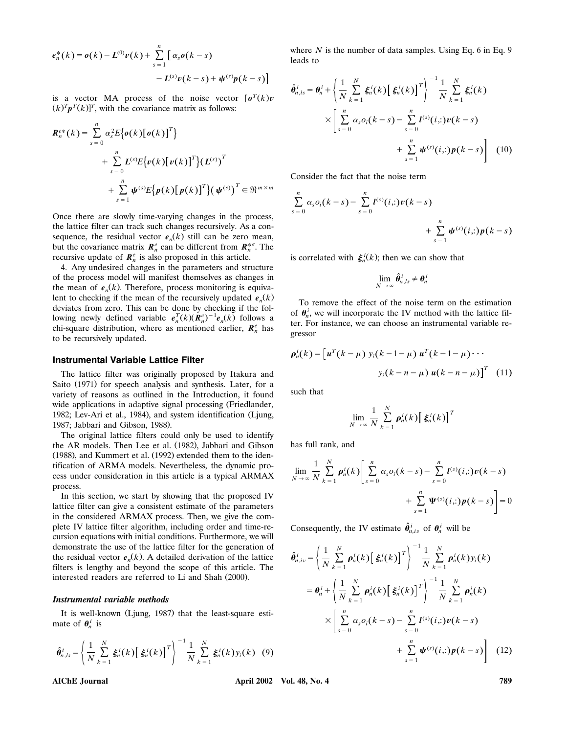$$
e_n^*(k) = o(k) - L^{(0)}v(k) + \sum_{s=1}^n [\alpha_s o(k - s) - L^{(s)}v(k - s) + \psi^{(s)}p(k - s)]
$$

is a vector MA process of the noise vector  $\left[ \boldsymbol{\rho}^T(k) \boldsymbol{\nu} \right]$  $(k)^T p^T (k)$ <sup>*T*</sup>, with the covariance matrix as follows:

$$
R_n^{e*}(k) = \sum_{s=0}^n \alpha_s^2 E\big\{\boldsymbol{o}(k) [\boldsymbol{o}(k)]^T\big\}
$$
  
+ 
$$
\sum_{s=0}^n L^{(s)} E\big\{\boldsymbol{v}(k) [\boldsymbol{v}(k)]^T\big\} (\boldsymbol{L}^{(s)})^T
$$
  
+ 
$$
\sum_{s=1}^n \boldsymbol{\psi}^{(s)} E\big\{\boldsymbol{p}(k) [\boldsymbol{p}(k)]^T\big\} (\boldsymbol{\psi}^{(s)})^T \in \mathfrak{R}^{m \times m}
$$

Once there are slowly time-varying changes in the process, the lattice filter can track such changes recursively. As a consequence, the residual vector  $e_n(k)$  still can be zero mean, but the covariance matrix  $\mathbf{R}_n^e$  can be different from  $\mathbf{R}_n^{*e}$ . The recursive update of  $\mathbf{R}^e$  is also proposed in this article.

4. Any undesired changes in the parameters and structure of the process model will manifest themselves as changes in the mean of  $e_n(k)$ . Therefore, process monitoring is equivalent to checking if the mean of the recursively updated  $e_n(k)$ deviates from zero. This can be done by checking if the fol lowing newly defined variable  $e_n^T(k)(\mathbf{R}_n^e)^{-1}e_n(k)$  follows a chi-square distribution, where as mentioned earlier, *R<sup>e</sup>* has *<sup>n</sup>* to be recursively updated.

#### **Instrumental Variable Lattice Filter**

The lattice filter was originally proposed by Itakura and Saito (1971) for speech analysis and synthesis. Later, for a variety of reasons as outlined in the Introduction, it found wide applications in adaptive signal processing (Friedlander, 1982; Lev-Ari et al., 1984), and system identification (Ljung, 1987; Jabbari and Gibson, 1988).

The original lattice filters could only be used to identify the AR models. Then Lee et al. (1982), Jabbari and Gibson  $(1988)$ , and Kummert et al.  $(1992)$  extended them to the identification of ARMA models. Nevertheless, the dynamic process under consideration in this article is a typical ARMAX process.

In this section, we start by showing that the proposed IV lattice filter can give a consistent estimate of the parameters in the considered ARMAX process. Then, we give the complete IV lattice filter algorithm, including order and time-recursion equations with initial conditions. Furthermore, we will demonstrate the use of the lattice filter for the generation of the residual vector  $e_n(k)$ . A detailed derivation of the lattice filters is lengthy and beyond the scope of this article. The interested readers are referred to Li and Shah (2000).

#### *Instrumental* ©*ariable methods*

It is well-known (Ljung, 1987) that the least-square estimate of  $\theta_n^i$  is

$$
\hat{\theta}_{n,ls}^{i} = \left\{ \frac{1}{N} \sum_{k=1}^{N} \xi_{n}^{i}(k) \left[ \xi_{n}^{i}(k) \right]^{T} \right\}^{-1} \frac{1}{N} \sum_{k=1}^{N} \xi_{n}^{i}(k) y_{i}(k) \quad (9)
$$

where *N* is the number of data samples. Using Eq. 6 in Eq. 9 leads to

$$
\hat{\theta}_{n,ls}^{i} = \theta_{n}^{i} + \left\{ \frac{1}{N} \sum_{k=1}^{N} \xi_{n}^{i}(k) \left[ \xi_{n}^{i}(k) \right]^{T} \right\}^{-1} \frac{1}{N} \sum_{k=1}^{N} \xi_{n}^{i}(k)
$$

$$
\times \left[ \sum_{s=0}^{n} \alpha_{s} o_{i}(k-s) - \sum_{s=0}^{n} l^{(s)}(i,:) \nu(k-s) + \sum_{s=1}^{n} \psi^{(s)}(i,:) p(k-s) \right] (10)
$$

Consider the fact that the noise term

$$
\sum_{s=0}^{n} \alpha_{s} o_{i}(k-s) - \sum_{s=0}^{n} l^{(s)}(i,:) \nu(k-s) + \sum_{s=1}^{n} \psi^{(s)}(i,:) p(k-s)
$$

is correlated with  $\xi_n^i(k)$ ; then we can show that

$$
\lim_{N\to\infty}\hat{\boldsymbol{\theta}}_{n,ls}^i\neq\boldsymbol{\theta}_n^i
$$

To remove the effect of the noise term on the estimation of  $\theta_n^i$ , we will incorporate the IV method with the lattice filter. For instance, we can choose an instrumental variable regressor

$$
\boldsymbol{\rho}_n^i(k) = \left[ \boldsymbol{u}^T(k-\mu) \ y_i(k-1-\mu) \, \boldsymbol{u}^T(k-1-\mu) \cdots \right]
$$
\n
$$
y_i(k-n-\mu) \, \boldsymbol{u}(k-n-\mu) \right]^T \quad (11)
$$

such that

$$
\lim_{N \to \infty} \frac{1}{N} \sum_{k=1}^{N} \boldsymbol{\rho}_n^i(k) \big[ \boldsymbol{\xi}_n^i(k) \big]^T
$$

has full rank, and

$$
\lim_{N \to \infty} \frac{1}{N} \sum_{k=1}^{N} \rho_n^i(k) \Bigg[ \sum_{s=0}^{n} \alpha_s o_i(k-s) - \sum_{s=0}^{n} l^{(s)}(i,:) \nu(k-s) + \sum_{s=1}^{n} \Psi^{(s)}(i,:) p(k-s) \Bigg] = 0
$$

Consequently, the IV estimate  $\hat{\theta}_{n,iv}^i$  of  $\theta_n^i$  will be

$$
\hat{\theta}_{n,iv}^{i} = \left\{ \frac{1}{N} \sum_{k=1}^{N} \rho_{n}^{i}(k) \left[ \xi_{n}^{i}(k) \right]^{T} \right\}^{-1} \frac{1}{N} \sum_{k=1}^{N} \rho_{n}^{i}(k) y_{i}(k)
$$
\n
$$
= \theta_{n}^{i} + \left\{ \frac{1}{N} \sum_{k=1}^{N} \rho_{n}^{i}(k) \left[ \xi_{n}^{i}(k) \right]^{T} \right\}^{-1} \frac{1}{N} \sum_{k=1}^{N} \rho_{n}^{i}(k)
$$
\n
$$
\times \left[ \sum_{s=0}^{n} \alpha_{s} o_{i}(k-s) - \sum_{s=0}^{n} l^{(s)}(i,:) \nu(k-s) + \sum_{s=1}^{n} \psi^{(s)}(i,:) \nu(k-s) \right]
$$
\n
$$
(12)
$$

**AIChE Journal April 2002 Vol. 48, No. 4 789**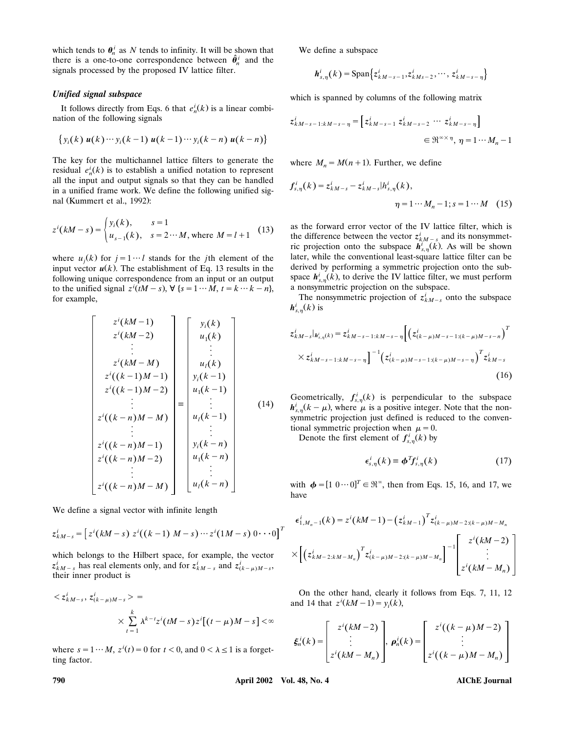which tends to  $\theta_n^i$  as *N* tends to infinity. It will be shown that there is a one-to-one correspondence between  $\hat{\theta}_n^i$  and the signals processed by the proposed IV lattice filter.

#### *Unified signal subspace*

It follows directly from Eqs. 6 that  $e_n^i(k)$  is a linear combination of the following signals

$$
\{y_i(k)\mathbf{u}(k)\cdots y_i(k-1)\mathbf{u}(k-1)\cdots y_i(k-n)\mathbf{u}(k-n)\}
$$

The key for the multichannel lattice filters to generate the residual  $e^i_n(k)$  is to establish a unified notation to represent all the input and output signals so that they can be handled in a unified frame work. We define the following unified signal (Kummert et al., 1992):

$$
z^{i}(kM - s) = \begin{cases} y_{i}(k), & s = 1 \\ u_{s-1}(k), & s = 2 \cdots M, \text{ where } M = l+1 \end{cases}
$$
 (13)

where  $u_i(k)$  for  $j = 1 \cdots l$  stands for the *j*th element of the input vector  $u(k)$ . The establishment of Eq. 13 results in the following unique correspondence from an input or an output *to the unified signal*  $z^{i}(tM - s)$ *,*  $\forall$   $\{s = 1 \cdots M, t = k \cdots k - n\}$ , for example,

$$
\begin{bmatrix}\n z^{i}(kM-1) \\
 z^{i}(kM-2) \\
 \vdots \\
 z^{i}(kM-M) \\
 z^{i}((k-1)M-1) \\
 \vdots \\
 z^{i}((k-n)M-M) \\
 \vdots \\
 z^{i}((k-n)M-2) \\
 \vdots \\
 z^{i}((k-n)M-2) \\
 \vdots \\
 z^{i}((k-n)M-2) \\
 \vdots \\
 z^{i}((k-n)M-M)\n\end{bmatrix} = \begin{bmatrix}\ny_{i}(k) \\
u_{1}(k) \\
 \vdots \\
u_{i}(k-1) \\
u_{1}(k-1) \\
 \vdots \\
u_{1}(k-n) \\
 u_{1}(k-n) \\
 \vdots \\
u_{i}(k-n)\n\end{bmatrix}
$$
\n(14)

We define a signal vector with infinite length

$$
z_{kM-s}^i = \left[z^i(kM-s) \; z^i((k-1) \; M-s) \cdots z^i(1M-s) \; 0 \cdots 0\right]^T
$$

which belongs to the Hilbert space, for example, the vector  $z_{kM-s}^i$  has real elements only, and for  $z_{kM-s}^i$  and  $z_{(k-\mu)M-s}^i$ , their inner product is

$$
\langle z_{kM-s}^i, z_{(k-\mu)M-s}^i \rangle =
$$
  
 
$$
\times \sum_{t=1}^k \lambda^{k-t} z^i (tM-s) z^i [(t-\mu)M-s] \langle \infty
$$

where  $s = 1 \cdots M$ ,  $z^{i}(t) = 0$  for  $t < 0$ , and  $0 < \lambda \le 1$  is a forgetting factor.

We define a subspace

$$
\boldsymbol{h}_{s,\eta}^i(k) = \mathrm{Span}\left\{ z_{kM-s-1}^i, z_{kM-s-2}^i, \cdots, z_{kM-s-\eta}^i \right\}
$$

which is spanned by columns of the following matrix

$$
z_{kM-s-1:kM-s-\eta}^i = \left[ z_{kM-s-1}^i \ z_{kM-s-2}^i \cdots z_{kM-s-\eta}^i \right]
$$
  

$$
\in \mathfrak{R}^{\infty} \setminus \eta, \ \eta = 1 \cdots M_n - 1
$$

where  $M_n = M(n + 1)$ . Further, we define

$$
f_{s,\eta}^{i}(k) = z_{kM-s}^{i} - z_{kM-s}^{i}|h_{s,\eta}^{i}(k),
$$
  

$$
\eta = 1 \cdots M_{n} - 1; s = 1 \cdots M \quad (15)
$$

as the forward error vector of the IV lattice filter, which is the difference between the vector  $z_{k,M-s}^i$  and its nonsymmet-<br>ric projection onto the subspace  $h_{s,\eta}^i(k)$ . As will be shown later, while the conventional least-square lattice filter can be derived by performing a symmetric projection onto the sub space  $h^i_{s,n}(k)$ , to derive the IV lattice filter, we must perform a nonsymmetric projection on the subspace.

The nonsymmetric projection of  $z_{kM-s}^i$  onto the subspace  $h_{s,n}^i(k)$  is

$$
z_{kM-s}^i|_{\mathbf{h}_{s,\eta}^i(k)} = z_{kM-s-1:kM-s-\eta}^i \Big[ \left( z_{(k-\mu)M-s-1:(k-\mu)M-s-n}^i \right)^T
$$
  
 
$$
\times z_{kM-s-1:kM-s-\eta}^i \Big]^{-1} \left( z_{(k-\mu)M-s-1:(k-\mu)M-s-\eta}^i \right)^T z_{kM-s}^i
$$
  
(16)

Geometrically,  $f_{s,\eta}^i(k)$  is perpendicular to the subspace  $h_{s,\eta}^i(k - \mu)$ , where  $\mu$  is a positive integer. Note that the nonsymmetric projection just defined is reduced to the conventional symmetric projection when  $\mu=0$ .

Denote the first element of  $f_{s,\eta}^i(k)$  by

$$
\epsilon_{s,\eta}^i(k) \equiv \phi^T f_{s,\eta}^i(k) \tag{17}
$$

with  $\boldsymbol{\phi} = [1 \ 0 \cdots 0]^T \in \mathbb{R}^{\infty}$ , then from Eqs. 15, 16, and 17, we have

$$
\epsilon_{1,M_n-1}^i(k) = z^i(kM-1) - (z_{kM-1}^i)^T z_{(k-\mu)M-2:(k-\mu)M-M_n}^i
$$
  

$$
\times \left[ \left( z_{kM-2:kM-M_n}^i \right)^T z_{(k-\mu)M-2:(k-\mu)M-M_n}^i \right]^{-1} \left[ \begin{array}{c} z^i(kM-2) \\ \vdots \\ z^i(kM-M_n) \end{array} \right]
$$

On the other hand, clearly it follows from Eqs. 7, 11, 12 and 14 that  $z^{i}(kM-1) = y_{i}(k)$ ,

$$
\xi_n^i(k) = \begin{bmatrix} z^i(kM-2) \\ \vdots \\ z^i(kM-M_n) \end{bmatrix}, \ \rho_n^i(k) = \begin{bmatrix} z^i((k-\mu)M-2) \\ \vdots \\ z^i((k-\mu)M-M_n) \end{bmatrix}
$$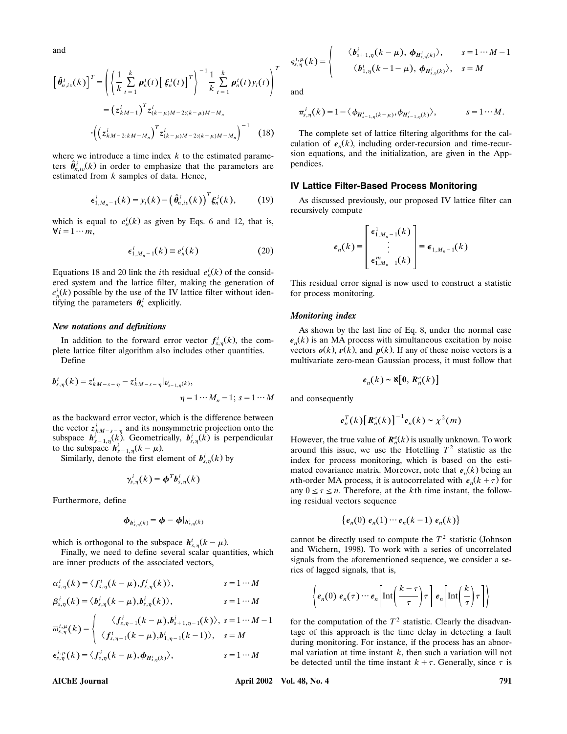and

$$
\begin{aligned}\n\left[\hat{\theta}_{n,i\nu}^{i}(k)\right]^{T} &= \left(\left\{\frac{1}{k}\sum_{t=1}^{k}\rho_{n}^{i}(t)\left[\xi_{n}^{i}(t)\right]^{T}\right\}^{-1}\frac{1}{k}\sum_{t=1}^{k}\rho_{n}^{i}(t)y_{i}(t)\right)^{T} \\
&= \left(z_{kM-1}^{i}\right)^{T}z_{(k-\mu)M-2:(k-\mu)M-M_{n}}^{i} \\
&\cdot\left(\left(z_{kM-2:kM-M_{n}}^{i}\right)^{T}z_{(k-\mu)M-2:(k-\mu)M-M_{n}}^{i}\right)^{-1}\n\end{aligned} \tag{18}
$$

where we introduce a time index *k* to the estimated parameters  $\hat{\theta}_{n,i\nu}^{i}(k)$  in order to emphasize that the parameters are estimated from *k* samples of data. Hence,

$$
\epsilon_{1,M_n-1}^i(k) = y_i(k) - \left(\hat{\theta}_{n,iv}^i(k)\right)^T \xi_n^i(k), \qquad (19)
$$

which is equal to  $e_n^i(k)$  as given by Eqs. 6 and 12, that is,  $\forall i = 1 \cdots m$ .

$$
\epsilon_{1,M_n-1}^i(k) \equiv e_n^i(k) \tag{20}
$$

Equations 18 and 20 link the *i*th residual  $e_n^i(k)$  of the considered system and the lattice filter, making the generation of  $e_n^i(k)$  possible by the use of the IV lattice filter without identifying the parameters  $\theta_n^i$  explicitly.

#### *New notations and definitions*

In addition to the forward error vector  $f_{s,n}^{i}(k)$ , the complete lattice filter algorithm also includes other quantities. Define

$$
b_{s,\eta}^{i}(k) = z_{kM-s-\eta}^{i} - z_{kM-s-\eta}^{i}|_{h_{s-1,\eta}^{i}(k)},
$$
  
\n
$$
\eta = 1 \cdots M_{n} - 1; s = 1 \cdots M
$$

as the backward error vector, which is the difference between<br>the vector  $z_{kM-s-\eta}^i$  and its nonsymmetric projection onto the subspace  $h_{s-1,\eta}^i(k)$ . Geometrically,  $b_{s,\eta}^i(k)$  is perpendicular<br>to the subspace  $h_{s-1,\eta}^i(k-\mu)$ .<br>Similarly, denote the first element of  $b_{s,\eta}^i(k)$  by

$$
\gamma_{s,\eta}^i(k) = \boldsymbol{\phi}^T \boldsymbol{b}_{s,\eta}^i(k)
$$

Furthermore, define

$$
\boldsymbol{\phi}_{h^i_{s,\eta}(k)} = \boldsymbol{\phi} - \boldsymbol{\phi}|_{h^i_{s,\eta}(k)}
$$

which is orthogonal to the subspace  $h_{s,n}^{i}(k - \mu)$ .

Finally, we need to define several scalar quantities, which are inner products of the associated vectors,

$$
\alpha_{s,\eta}^i(k) = \langle f_{s,\eta}^i(k-\mu), f_{s,\eta}^i(k) \rangle, \qquad s = 1 \cdots M
$$

$$
\beta_{s,\eta}^i(k) = \langle b_{s,\eta}^i(k-\mu), b_{s,\eta}^i(k) \rangle, \qquad s = 1 \cdots M
$$

$$
\overline{\omega}_{s,\eta}^{i,\mu}(k) = \begin{cases}\n\langle f_{s,\eta-1}^{i}(k-\mu), b_{s+1,\eta-1}^{i}(k)\rangle, \ s=1\cdots M-1 \\
\langle f_{s,\eta-1}^{i}(k-\mu), b_{1,\eta-1}^{i}(k-1)\rangle, \quad s=M\n\end{cases}
$$
\n
$$
\epsilon_{s,\eta}^{i,\mu}(k) = \langle f_{s,\eta}^{i}(k-\mu), \phi_{H_{s,\eta}^{i}(k)}\rangle, \qquad s=1\cdots M
$$

$$
f_{\rm{max}}(x)
$$

$$
s_{s,\eta}^{i,\mu}(k) = \begin{cases} & \langle b_{s+1,\eta}^i(k-\mu), \phi_{H_{s,\eta}^i(k)} \rangle, \quad s = 1 \cdots M-1 \\ & \langle b_{1,\eta}^i(k-1-\mu), \phi_{H_{s,\eta}^i(k)} \rangle, \quad s = M \end{cases}
$$

and

$$
\pi_{s,\eta}^i(k)=1-\langle \phi_{H_{s-1,\eta}^i(k-\mu)},\phi_{H_{s-1,\eta}^i(k)}\rangle, \qquad s=1\cdots M.
$$

The complete set of lattice filtering algorithms for the calculation of  $e_n(k)$ , including order-recursion and time-recursion equations, and the initialization, are given in the Apppendices.

# **IV Lattice Filter-Based Process Monitoring**

As discussed previously, our proposed IV lattice filter can recursively compute

$$
e_n(k) \equiv \begin{bmatrix} \epsilon_{1,M_n-1}^1(k) \\ \vdots \\ \epsilon_{1,M_n-1}^m(k) \end{bmatrix} \equiv \epsilon_{1,M_n-1}(k)
$$

This residual error signal is now used to construct a statistic for process monitoring.

#### *Monitoring index*

As shown by the last line of Eq. 8, under the normal case  $e_n(k)$  is an MA process with simultaneous excitation by noise vectors  $o(k)$ ,  $v(k)$ , and  $p(k)$ . If any of these noise vectors is a multivariate zero-mean Gaussian process, it must follow that

$$
e_n(k) \sim \aleph[0, R_n^e(k)]
$$

and consequently

$$
\boldsymbol{e}_n^T(k)\big[\boldsymbol{R}_n^e(k)\big]^{-1}\boldsymbol{e}_n(k)\sim\chi^2(m)
$$

However, the true value of  $\mathbf{R}^e(k)$  is usually unknown. To work around this issue, we use the Hotelling  $T^2$  statistic as the index for process monitoring, which is based on the estimated covariance matrix. Moreover, note that  $e_n(k)$  being an *n*th-order MA process, it is autocorrelated with  $e_n(k + \tau)$  for any  $0 \le \tau \le n$ . Therefore, at the *k*th time instant, the following residual vectors sequence

$$
\{e_n(0)\ e_n(1)\cdots e_n(k-1)\ e_n(k)\}\
$$

cannot be directly used to compute the  $T^2$  statistic (Johnson and Wichern, 1998). To work with a series of uncorrelated signals from the aforementioned sequence, we consider a series of lagged signals, that is,

$$
\left\{ e_n(0) \ e_n(\tau) \cdots e_n \left[ \text{Int} \left( \frac{k-\tau}{\tau} \right) \tau \right] e_n \left[ \text{Int} \left( \frac{k}{\tau} \right) \tau \right] \right\}
$$

for the computation of the  $T^2$  statistic. Clearly the disadvantage of this approach is the time delay in detecting a fault during monitoring. For instance, if the process has an abnormal variation at time instant *k*, then such a variation will not be detected until the time instant  $k + \tau$ . Generally, since  $\tau$  is

**AIChE Journal April 2002 Vol. 48, No. 4 791**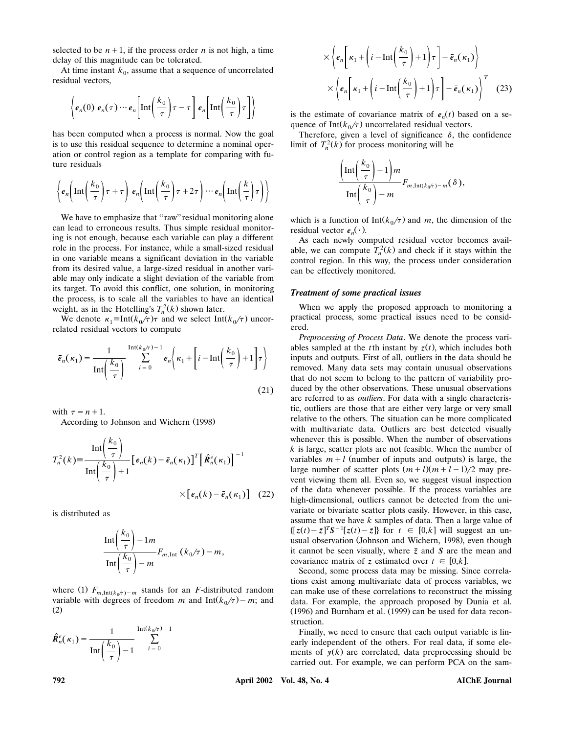selected to be  $n+1$ , if the process order *n* is not high, a time delay of this magnitude can be tolerated.

At time instant  $k_0$ , assume that a sequence of uncorrelated residual vectors,

$$
\left\{ e_n(0) \ e_n(\tau) \cdots e_n \left[ \text{Int}\left(\frac{k_0}{\tau}\right)\tau - \tau \right] e_n \left[ \text{Int}\left(\frac{k_0}{\tau}\right)\tau \right] \right\}
$$

has been computed when a process is normal. Now the goal is to use this residual sequence to determine a nominal operation or control region as a template for comparing with future residuals

$$
\left\{ e_n \bigg( \mathrm{Int} \bigg( \frac{k_0}{\tau} \bigg) \tau + \tau \bigg) e_n \bigg( \mathrm{Int} \bigg( \frac{k_0}{\tau} \bigg) \tau + 2\tau \bigg) \cdots e_n \bigg( \mathrm{Int} \bigg( \frac{k}{\tau} \bigg) \tau \bigg) \right\}
$$

We have to emphasize that "raw" residual monitoring alone can lead to erroneous results. Thus simple residual monitoring is not enough, because each variable can play a different role in the process. For instance, while a small-sized residual in one variable means a significant deviation in the variable from its desired value, a large-sized residual in another variable may only indicate a slight deviation of the variable from its target. To avoid this conflict, one solution, in monitoring the process, is to scale all the variables to have an identical weight, as in the Hotelling's  $T_n^2(k)$  shown later.

We denote  $\kappa_1 = \text{Int}(k_0/\tau)\tau$  and we select  $\text{Int}(k_0/\tau)$  uncorrelated residual vectors to compute

$$
\bar{e}_n(\kappa_1) = \frac{1}{\text{Int}\left(\frac{k_0}{\tau}\right)} \sum_{i=0}^{\text{Int}(k_0/\tau)-1} e_n\left(\kappa_1 + \left[i - \text{Int}\left(\frac{k_0}{\tau}\right) + 1\right]\tau\right)
$$
\n(21)

with  $\tau = n + 1$ . According to Johnson and Wichern (1998)

$$
T_n^2(k) = \frac{\text{Int}\left(\frac{k_0}{\tau}\right)}{\text{Int}\left(\frac{k_0}{\tau}\right) + 1} \left[e_n(k) - \bar{e}_n(\kappa_1)\right]^T \left[\hat{R}_n^e(\kappa_1)\right]^{-1} \times \left[e_n(k) - \bar{e}_n(\kappa_1)\right] \quad (22)
$$

is distributed as

$$
\frac{\mathrm{Int}\left(\frac{k_0}{\tau}\right)-1m}{\mathrm{Int}\left(\frac{k_0}{\tau}\right)-m}F_{m,\mathrm{Int}}\left(k_0/\tau\right)-m,
$$

where (1)  $F_{m,\text{Int}(k_0/\tau)-m}$  stands for an *F*-distributed random variable with degrees of freedom *m* and Int( $k_0/\tau$ ) – *m*; and  $(2)$ 

$$
\hat{R}_{n}^{e}(\kappa_{1}) = \frac{1}{\text{Int}\left(\frac{k_{0}}{\tau}\right) - 1} \sum_{i=0}^{\text{Int}(k_{0}/\tau) - 1}
$$

$$
\times \left\{ e_n \left[ \kappa_1 + \left( i - \text{Int} \left( \frac{k_0}{\tau} \right) + 1 \right) \tau \right] - \bar{e}_n(\kappa_1) \right\} \times \left\{ e_n \left[ \kappa_1 + \left( i - \text{Int} \left( \frac{k_0}{\tau} \right) + 1 \right) \tau \right] - \bar{e}_n(\kappa_1) \right\}^T \quad (23)
$$

is the estimate of covariance matrix of  $e_n(t)$  based on a sequence of Int $(k_0/\tau)$  uncorrelated residual vectors.

Therefore, given a level of significance  $\delta$ , the confidence limit of  $T_n^2(k)$  for process monitoring will be

$$
\frac{\left(\text{Int}\left(\frac{k_0}{\tau}\right)-1\right)m}{\text{Int}\left(\frac{k_0}{\tau}\right)-m}F_{m,\text{Int}(k_0/\tau)-m}(\delta),
$$

which is a function of Int( $k_0/\tau$ ) and *m*, the dimension of the residual vector  $e_n(\cdot)$ .

As each newly computed residual vector becomes avail able, we can compute  $T_n^2(k)$  and check if it stays within the control region. In this way, the process under consideration can be effectively monitored.

#### *Treatment of some practical issues*

When we apply the proposed approach to monitoring a practical process, some practical issues need to be considered.

*Preprocessing of Process Data*. We denote the process variables sampled at the *t*th instant by  $z(t)$ , which includes both inputs and outputs. First of all, outliers in the data should be removed. Many data sets may contain unusual observations that do not seem to belong to the pattern of variability produced by the other observations. These unusual observations are referred to as *outliers*. For data with a single characteristic, outliers are those that are either very large or very small relative to the others. The situation can be more complicated with multivariate data. Outliers are best detected visually whenever this is possible. When the number of observations *k* is large, scatter plots are not feasible. When the number of variables  $m+l$  (number of inputs and outputs) is large, the large number of scatter plots  $(m+l)(m+l-1)/2$  may prevent viewing them all. Even so, we suggest visual inspection of the data whenever possible. If the process variables are high-dimensional, outliers cannot be detected from the univariate or bivariate scatter plots easily. However, in this case, assume that we have *k* samples of data. Then a large value of  $\{ [z(t) - \bar{z}]^T S^{-1} [z(t) - \bar{z}] \}$  for  $t \in [0,k]$  will suggest an unusual observation (Johnson and Wichern, 1998), even though it cannot be seen visually, where *z* and *S* are the mean and covariance matrix of *z* estimated over  $t \in [0,k]$ .

Second, some process data may be missing. Since correlations exist among multivariate data of process variables, we can make use of these correlations to reconstruct the missing data. For example, the approach proposed by Dunia et al.  $(1996)$  and Burnham et al.  $(1999)$  can be used for data reconstruction.

Finally, we need to ensure that each output variable is linearly independent of the others. For real data, if some elements of  $y(k)$  are correlated, data preprocessing should be carried out. For example, we can perform PCA on the sam-

**792 April 2002 Vol. 48, No. 4 AIChE Journal**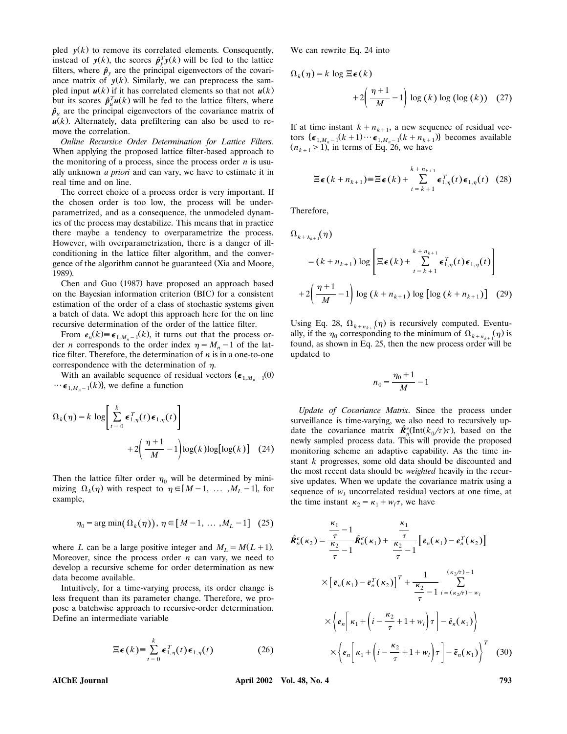pled  $y(k)$  to remove its correlated elements. Consequently, instead of  $y(k)$ , the scores  $\hat{p}_y^T y(k)$  will be fed to the lattice filters, where  $\hat{p}_v$  are the principal eigenvectors of the covariance matrix of  $y(k)$ . Similarly, we can preprocess the sampled input  $u(k)$  if it has correlated elements so that not  $u(k)$ but its scores  $\hat{p}_{\mu}^{T}u(k)$  will be fed to the lattice filters, where  $\hat{p}_\mu$  are the principal eigenvectors of the covariance matrix of  $u(k)$ . Alternately, data prefiltering can also be used to remove the correlation.

*Online Recursi*®*e Order Determination for Lattice Filters*. When applying the proposed lattice filter-based approach to the monitoring of a process, since the process order  $n$  is usually unknown *a priori* and can vary, we have to estimate it in real time and on line.

The correct choice of a process order is very important. If the chosen order is too low, the process will be underparametrized, and as a consequence, the unmodeled dynamics of the process may destabilize. This means that in practice there maybe a tendency to overparametrize the process. However, with overparametrization, there is a danger of illconditioning in the lattice filter algorithm, and the convergence of the algorithm cannot be guaranteed (Xia and Moore, 1989).

Chen and Guo (1987) have proposed an approach based on the Bayesian information criterion (BIC) for a consistent estimation of the order of a class of stochastic systems given a batch of data. We adopt this approach here for the on line recursive determination of the order of the lattice filter.

From  $e_n(k) \equiv \epsilon_{1,M_n-1}(k)$ , it turns out that the process order *n* corresponds to the order index  $\eta = M_n - 1$  of the lattice filter. Therefore, the determination of *n* is in a one-to-one correspondence with the determination of  $\eta$ .

With an available sequence of residual vectors  $\{\epsilon_{1,M_{n-1}}(0)$  $\cdots \epsilon_{1,M_n-1}(k)$ , we define a function

$$
\Omega_k(\eta) = k \log \left[ \sum_{t=0}^k \epsilon_{1,\eta}^T(t) \epsilon_{1,\eta}(t) \right]
$$
  
+2\left(\frac{\eta+1}{M} - 1\right) \log(k) \log[\log(k)] (24)

Then the lattice filter order  $\eta_0$  will be determined by minimizing  $\Omega_k(\eta)$  with respect to  $\eta \in [M-1, \ldots, M_L-1]$ , for example,

$$
\eta_0 = \arg\min(\Omega_k(\eta)), \ \eta \in [M-1, \dots, M_L-1] \quad (25)
$$

where *L* can be a large positive integer and  $M_L = M(L + 1)$ . Moreover, since the process order *n* can vary, we need to develop a recursive scheme for order determination as new data become available.

Intuitively, for a time-varying process, its order change is less frequent than its parameter change. Therefore, we propose a batchwise approach to recursive-order determination. Define an intermediate variable

$$
\Xi \epsilon(k) = \sum_{t=0}^{k} \epsilon_{1,\eta}^{T}(t) \epsilon_{1,\eta}(t)
$$
\n(26)

We can rewrite Eq. 24 into

$$
\Omega_k(\eta) = k \log \Xi \epsilon(k)
$$
  
+2 $\left(\frac{\eta + 1}{M} - 1\right) \log (k) \log (\log (k))$  (27)

If at time instant  $k + n_{k+1}$ , a new sequence of residual vectors  $\{\boldsymbol{\epsilon}_{1,M_n-1}(k+1)\cdots \boldsymbol{\epsilon}_{1,M_n-1}(k+n_{k+1})\}$  becomes available  $(n_{k+1} \geq 1)$ , in terms of Eq. 26, we have

$$
\Xi \boldsymbol{\epsilon} (k + n_{k+1}) \equiv \Xi \boldsymbol{\epsilon} (k) + \sum_{t = k+1}^{k + n_{k+1}} \boldsymbol{\epsilon}_{1,\eta}^T(t) \boldsymbol{\epsilon}_{1,\eta}(t) \tag{28}
$$

Therefore,

 $\Omega_{k+\lambda_{k+1}}(\eta)$ 

$$
= (k + n_{k+1}) \log \left[ \Xi \boldsymbol{\epsilon}(k) + \sum_{t=k+1}^{k+n_{k+1}} \boldsymbol{\epsilon}_{1,\eta}^T(t) \boldsymbol{\epsilon}_{1,\eta}(t) \right]
$$

$$
+ 2 \left( \frac{\eta + 1}{M} - 1 \right) \log \left( k + n_{k+1} \right) \log \left[ \log \left( k + n_{k+1} \right) \right] \tag{29}
$$

Using Eq. 28,  $\Omega_{k+n_{k+1}}(\eta)$  is recursively computed. Eventually, if the  $\eta_0$  corresponding to the minimum of  $\Omega_{k+n_{k-1}}(\eta)$  is found, as shown in Eq. 25, then the new process order will be updated to

$$
n_0 = \frac{\eta_0 + 1}{M} - 1
$$

*Update of Co*®*ariance Matrix*. Since the process under surveillance is time-varying, we also need to recursively update the covariance matrix  $\hat{R}_n^e$ (Int( $k_0/\tau$ ) $\tau$ ), based on the newly sampled process data. This will provide the proposed monitoring scheme an adaptive capability. As the time instant *k* progresses, some old data should be discounted and the most recent data should be *weighted* heavily in the recursive updates. When we update the covariance matrix using a sequence of  $w_l$  uncorrelated residual vectors at one time, at the time instant  $\kappa_2 = \kappa_1 + w_l \tau$ , we have

$$
\hat{\mathbf{R}}_{n}^{e}(\kappa_{2}) = \frac{\frac{\kappa_{1}}{\tau} - 1}{\tau_{1}} \hat{\mathbf{R}}_{n}^{e}(\kappa_{1}) + \frac{\frac{\kappa_{1}}{\tau}}{\tau_{2}} \left[ \bar{e}_{n}(\kappa_{1}) - \bar{e}_{n}^{T}(\kappa_{2}) \right]
$$
\n
$$
\times \left[ \bar{e}_{n}(\kappa_{1}) - \bar{e}_{n}^{T}(\kappa_{2}) \right]^{T} + \frac{1}{\frac{\kappa_{2}}{\tau} - 1} \sum_{i = (\kappa_{2}/\tau) - w_{i}}^{\left(\kappa_{2}/\tau - 1\right)} \times \left\{ e_{n} \left[ \kappa_{1} + \left(i - \frac{\kappa_{2}}{\tau} + 1 + w_{i}\right) \tau \right] - \bar{e}_{n}(\kappa_{1}) \right\}
$$
\n
$$
\times \left\{ e_{n} \left[ \kappa_{1} + \left(i - \frac{\kappa_{2}}{\tau} + 1 + w_{i}\right) \tau \right] - \bar{e}_{n}(\kappa_{1}) \right\}^{T} \tag{30}
$$

**AIChE Journal April 2002 Vol. 48, No. 4 793**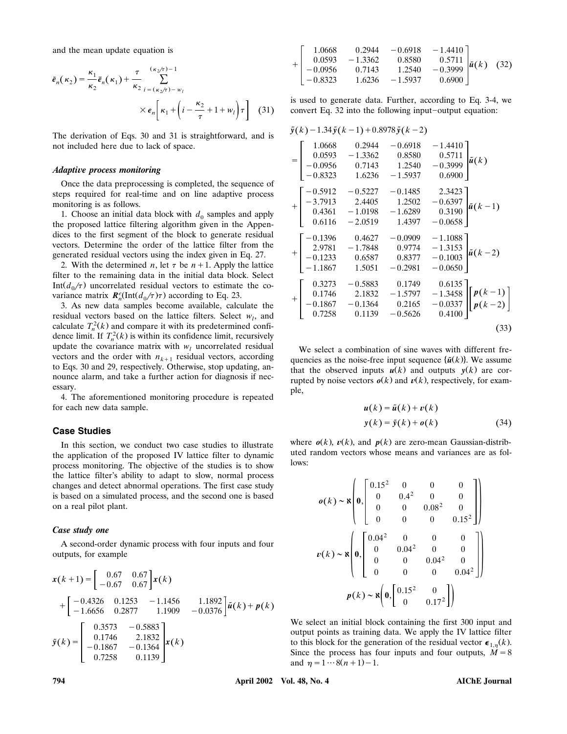and the mean update equation is

$$
\bar{e}_n(\kappa_2) = \frac{\kappa_1}{\kappa_2} \bar{e}_n(\kappa_1) + \frac{\tau}{\kappa_2} \sum_{i = (\kappa_2/\tau) - w_l}^{(\kappa_2/\tau) - 1} \times e_n \left[ \kappa_1 + \left( i - \frac{\kappa_2}{\tau} + 1 + w_l \right) \tau \right] \tag{31}
$$

The derivation of Eqs. 30 and 31 is straightforward, and is not included here due to lack of space.

#### *Adapti*©*e process monitoring*

Once the data preprocessing is completed, the sequence of steps required for real-time and on line adaptive process monitoring is as follows.

1. Choose an initial data block with  $d_0$  samples and apply the proposed lattice filtering algorithm given in the Appendices to the first segment of the block to generate residual vectors. Determine the order of the lattice filter from the generated residual vectors using the index given in Eq. 27.

2. With the determined *n*, let  $\tau$  be  $n+1$ . Apply the lattice filter to the remaining data in the initial data block. Select Int( $d_0/\tau$ ) uncorrelated residual vectors to estimate the co-<br>variance matrix  $\mathbf{R}_n^e(\text{Int}(d_0/\tau)\tau)$  according to Eq. 23.

3. As new data samples become available, calculate the residual vectors based on the lattice filters. Select  $w_l$ , and calculate  $T_n^2(k)$  and compare it with its predetermined confidence limit. If  $T_n^2(k)$  is within its confidence limit, recursively update the covariance matrix with  $w_l$  uncorrelated residual vectors and the order with  $n_{k+1}$  residual vectors, according to Eqs. 30 and 29, respectively. Otherwise, stop updating, announce alarm, and take a further action for diagnosis if necessary.

4. The aforementioned monitoring procedure is repeated for each new data sample.

#### **Case Studies**

In this section, we conduct two case studies to illustrate the application of the proposed IV lattice filter to dynamic process monitoring. The objective of the studies is to show the lattice filter's ability to adapt to slow, normal process changes and detect abnormal operations. The first case study is based on a simulated process, and the second one is based on a real pilot plant.

#### *Case study one*

A second-order dynamic process with four inputs and four outputs, for example

$$
\mathbf{x}(k+1) = \begin{bmatrix} 0.67 & 0.67 \\ -0.67 & 0.67 \end{bmatrix} \mathbf{x}(k)
$$
  
+ 
$$
\begin{bmatrix} -0.4326 & 0.1253 & -1.1456 & 1.1892 \\ -1.6656 & 0.2877 & 1.1909 & -0.0376 \end{bmatrix} \mathbf{\tilde{u}}(k) + \mathbf{p}(k)
$$
  

$$
\tilde{\mathbf{y}}(k) = \begin{bmatrix} 0.3573 & -0.5883 \\ 0.1746 & 2.1832 \\ -0.1867 & -0.1364 \\ 0.7258 & 0.1139 \end{bmatrix} \mathbf{x}(k)
$$

|  | 1.0668    | $0.0593 - 1.3362$ | $0.2944 - 0.6918 - 1.4410$<br>0.8580 |                                                                       |  |  |
|--|-----------|-------------------|--------------------------------------|-----------------------------------------------------------------------|--|--|
|  | $-0.0956$ | 0.7143            | 1.2540                               | $\begin{bmatrix} 0.5711 \\ -0.3999 \end{bmatrix}$ $\tilde{u}(k)$ (32) |  |  |
|  | $-0.8323$ |                   | $1.6236 - 1.5937$                    | 0.6900                                                                |  |  |

is used to generate data. Further, according to Eq. 3-4, we convert Eq. 32 into the following input-output equation:

$$
\tilde{y}(k) - 1.34\tilde{y}(k-1) + 0.8978\tilde{y}(k-2)
$$
\n
$$
= \begin{bmatrix}\n1.0668 & 0.2944 & -0.6918 & -1.4410 \\
0.0593 & -1.3362 & 0.8580 & 0.5711 \\
-0.0956 & 0.7143 & 1.2540 & -0.3999 \\
-0.8323 & 1.6236 & -1.5937 & 0.6900\n\end{bmatrix} \tilde{u}(k)
$$
\n
$$
+ \begin{bmatrix}\n-0.5912 & -0.5227 & -0.1485 & 2.3423 \\
-3.7913 & 2.4405 & 1.2502 & -0.6397 \\
0.4361 & -1.0198 & -1.6289 & 0.3190 \\
0.6116 & -2.0519 & 1.4397 & -0.0658\n\end{bmatrix} \tilde{u}(k-1)
$$
\n
$$
+ \begin{bmatrix}\n-0.1396 & 0.4627 & -0.0909 & -1.1088 \\
2.9781 & -1.7848 & 0.9774 & -1.3153 \\
-0.1233 & 0.6587 & 0.8377 & -0.1003 \\
-1.1867 & 1.5051 & -0.2981 & -0.0650\n\end{bmatrix} \tilde{u}(k-2)
$$
\n
$$
+ \begin{bmatrix}\n0.3273 & -0.5883 & 0.1749 & 0.6135 \\
0.1746 & 2.1832 & -1.5797 & -1.3458 \\
-0.1867 & -0.1364 & 0.2165 & -0.0337 \\
0.7258 & 0.1139 & -0.5626 & 0.4100\n\end{bmatrix} \begin{bmatrix}\np(k-1) \\
p(k-2)\n\end{bmatrix}
$$
\n(33)

We select a combination of sine waves with different frequencies as the noise-free input sequence  $\{\tilde{u}(k)\}\)$ . We assume that the observed inputs  $u(k)$  and outputs  $y(k)$  are corrupted by noise vectors  $o(k)$  and  $v(k)$ , respectively, for example,

$$
u(k) = \tilde{u}(k) + v(k)
$$
  

$$
y(k) = \tilde{y}(k) + o(k)
$$
 (34)

where  $o(k)$ ,  $v(k)$ , and  $p(k)$  are zero-mean Gaussian-distributed random vectors whose means and variances are as follows:

$$
o(k) \sim \mathbf{R} \left( \mathbf{0}, \begin{bmatrix} 0.15^2 & 0 & 0 & 0 \\ 0 & 0.4^2 & 0 & 0 \\ 0 & 0 & 0.08^2 & 0 \\ 0 & 0 & 0 & 0.15^2 \end{bmatrix} \right)
$$

$$
v(k) \sim \mathbf{R} \left( \mathbf{0}, \begin{bmatrix} 0.04^2 & 0 & 0 & 0 \\ 0 & 0.04^2 & 0 & 0 \\ 0 & 0 & 0.04^2 & 0 \\ 0 & 0 & 0 & 0.04^2 \end{bmatrix} \right)
$$

$$
p(k) \sim \mathbf{R} \left( \mathbf{0}, \begin{bmatrix} 0.15^2 & 0 \\ 0 & 0.17^2 \end{bmatrix} \right)
$$

We select an initial block containing the first 300 input and output points as training data. We apply the IV lattice filter to this block for the generation of the residual vector  $\epsilon_{1,n}(k)$ . Since the process has four inputs and four outputs,  $M = 8$ and  $\eta = 1 \cdots 8(n + 1) - 1$ .

**794 April 2002 Vol. 48, No. 4 AIChE Journal**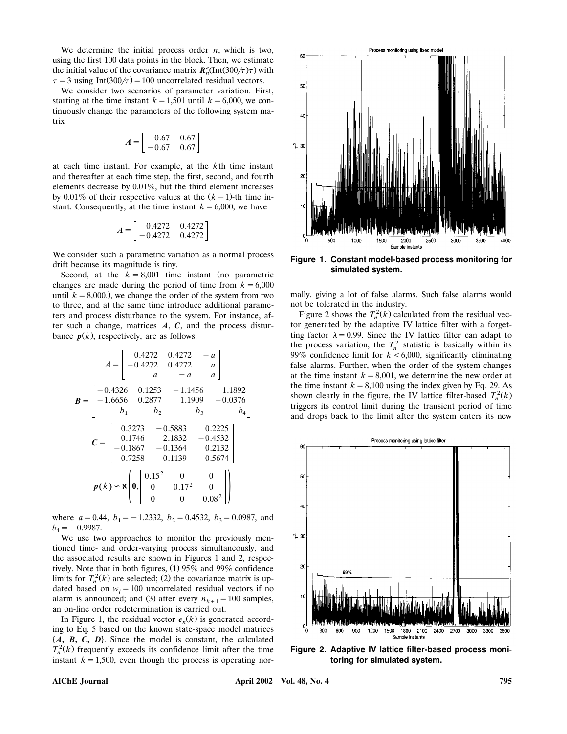We determine the initial process order *n*, which is two, using the first 100 data points in the block. Then, we estimate the initial value of the covariance matrix  $\mathbf{R}_n^e(\text{Int}(300/\tau)\tau)$  with  $\tau = 3$  using Int(300/ $\tau$ ) = 100 uncorrelated residual vectors.

We consider two scenarios of parameter variation. First, starting at the time instant  $k = 1,501$  until  $k = 6,000$ , we continuously change the parameters of the following system matrix

$$
A = \begin{bmatrix} 0.67 & 0.67 \\ -0.67 & 0.67 \end{bmatrix}
$$

at each time instant. For example, at the *k*th time instant and thereafter at each time step, the first, second, and fourth elements decrease by 0.01%, but the third element increases by 0.01% of their respective values at the  $(k - 1)$ -th time instant. Consequently, at the time instant  $k = 6,000$ , we have

$$
A = \begin{bmatrix} 0.4272 & 0.4272 \\ -0.4272 & 0.4272 \end{bmatrix}
$$

We consider such a parametric variation as a normal process drift because its magnitude is tiny.

Second, at the  $k = 8,001$  time instant (no parametric changes are made during the period of time from  $k = 6,000$ until  $k = 8,000$ .), we change the order of the system from two to three, and at the same time introduce additional parameters and process disturbance to the system. For instance, after such a change, matrices *A*, *C*, and the process disturbance  $p(k)$ , respectively, are as follows:

$$
A = \begin{bmatrix} 0.4272 & 0.4272 & -a \\ -0.4272 & 0.4272 & a \\ a & -a & a \end{bmatrix}
$$
  
\n
$$
B = \begin{bmatrix} -0.4326 & 0.1253 & -1.1456 & 1.1892 \\ -1.6656 & 0.2877 & 1.1909 & -0.0376 \\ b_1 & b_2 & b_3 & b_4 \end{bmatrix}
$$
  
\n
$$
C = \begin{bmatrix} 0.3273 & -0.5883 & 0.2225 \\ 0.1746 & 2.1832 & -0.4532 \\ -0.1867 & -0.1364 & 0.2132 \\ 0.7258 & 0.1139 & 0.5674 \end{bmatrix}
$$
  
\n
$$
p(k) \sim \aleph \begin{bmatrix} 0.15^2 & 0 & 0 \\ 0 & 0.17^2 & 0 \\ 0 & 0 & 0.08^2 \end{bmatrix}
$$

where  $a = 0.44$ ,  $b_1 = -1.2332$ ,  $b_2 = 0.4532$ ,  $b_3 = 0.0987$ , and  $b_4 = -0.9987$ .

We use two approaches to monitor the previously mentioned time- and order-varying process simultaneously, and the associated results are shown in Figures 1 and 2, respectively. Note that in both figures,  $(1)$  95% and 99% confidence limits for  $T_n^2(k)$  are selected; (2) the covariance matrix is updated based on  $w_l = 100$  uncorrelated residual vectors if no alarm is announced; and (3) after every  $n_{k+1} = 100$  samples, an on-line order redetermination is carried out.

In Figure 1, the residual vector  $e_n(k)$  is generated according to Eq. 5 based on the known state-space model matrices 4 *A***,** *B***,** *C***,** *D* . Since the model is constant, the calculated  $T<sub>n</sub><sup>2</sup>(k)$  frequently exceeds its confidence limit after the time instant  $k = 1,500$ , even though the process is operating nor-



**Figure 1. Constant model-based process monitoring for simulated system.**

mally, giving a lot of false alarms. Such false alarms would not be tolerated in the industry.

Figure 2 shows the  $T_n^2(k)$  calculated from the residual vector generated by the adaptive IV lattice filter with a forgetting factor  $\lambda = 0.99$ . Since the IV lattice filter can adapt to the process variation, the  $T_n^2$  statistic is basically within its 99% confidence limit for  $k \le 6,000$ , significantly eliminating false alarms. Further, when the order of the system changes at the time instant  $k = 8,001$ , we determine the new order at the time instant  $k = 8,100$  using the index given by Eq. 29. As shown clearly in the figure, the IV lattice filter-based  $T_n^2(k)$ triggers its control limit during the transient period of time and drops back to the limit after the system enters its new



**Figure 2. Adaptive IV lattice filter-based process monitoring for simulated system.**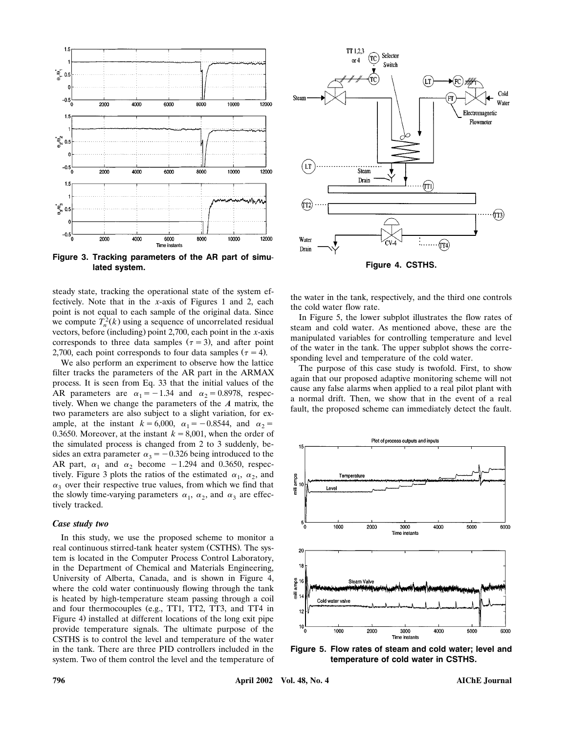

**Figure 3. Tracking parameters of the AR part of simulated system.**

steady state, tracking the operational state of the system effectively. Note that in the *x*-axis of Figures 1 and 2, each point is not equal to each sample of the original data. Since we compute  $T_n^2(k)$  using a sequence of uncorrelated residual vectors, before (including) point  $2,700$ , each point in the *x*-axis corresponds to three data samples ( $\tau$  = 3), and after point 2,700, each point corresponds to four data samples  $(7 - 4)$ .

We also perform an experiment to observe how the lattice filter tracks the parameters of the AR part in the ARMAX process. It is seen from Eq. 33 that the initial values of the AR parameters are  $\alpha_1 = -1.34$  and  $\alpha_2 = 0.8978$ , respectively. When we change the parameters of the *A* matrix, the two parameters are also subject to a slight variation, for example, at the instant  $k = 6,000$ ,  $\alpha_1 = -0.8544$ , and  $\alpha_2 =$ 0.3650. Moreover, at the instant  $k = 8,001$ , when the order of the simulated process is changed from 2 to 3 suddenly, besides an extra parameter  $\alpha_3 = -0.326$  being introduced to the AR part,  $\alpha_1$  and  $\alpha_2$  become -1.294 and 0.3650, respectively. Figure 3 plots the ratios of the estimated  $\alpha_1$ ,  $\alpha_2$ , and  $\alpha_3$  over their respective true values, from which we find that the slowly time-varying parameters  $\alpha_1$ ,  $\alpha_2$ , and  $\alpha_3$  are effectively tracked.

# *Case study two*

In this study, we use the proposed scheme to monitor a real continuous stirred-tank heater system (CSTHS). The system is located in the Computer Process Control Laboratory, in the Department of Chemical and Materials Engineering, University of Alberta, Canada, and is shown in Figure 4, where the cold water continuously flowing through the tank is heated by high-temperature steam passing through a coil and four thermocouples (e.g., TT1, TT2, TT3, and TT4 in Figure 4) installed at different locations of the long exit pipe provide temperature signals. The ultimate purpose of the CSTHS is to control the level and temperature of the water in the tank. There are three PID controllers included in the system. Two of them control the level and the temperature of



**Figure 4. CSTHS.**

the water in the tank, respectively, and the third one controls the cold water flow rate.

In Figure 5, the lower subplot illustrates the flow rates of steam and cold water. As mentioned above, these are the manipulated variables for controlling temperature and level of the water in the tank. The upper subplot shows the corresponding level and temperature of the cold water.

The purpose of this case study is twofold. First, to show again that our proposed adaptive monitoring scheme will not cause any false alarms when applied to a real pilot plant with a normal drift. Then, we show that in the event of a real fault, the proposed scheme can immediately detect the fault.



**Figure 5. Flow rates of steam and cold water; level and temperature of cold water in CSTHS.**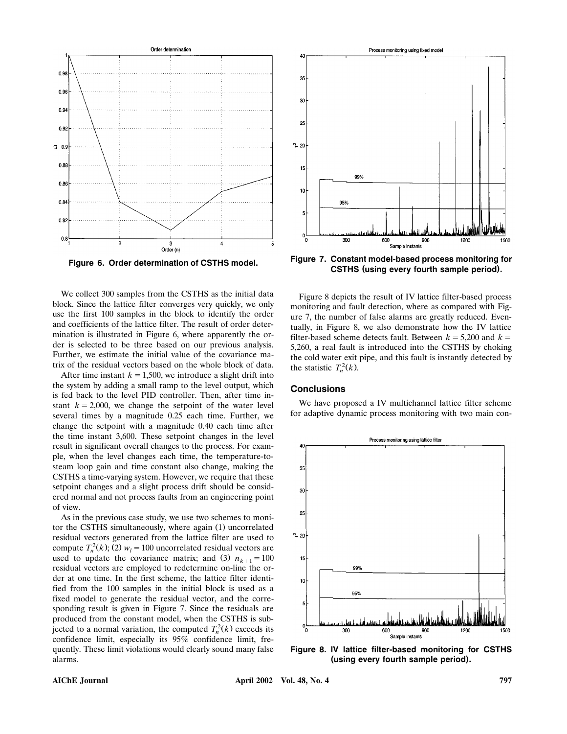

**Figure 6. Order determination of CSTHS model.**

We collect 300 samples from the CSTHS as the initial data block. Since the lattice filter converges very quickly, we only use the first 100 samples in the block to identify the order and coefficients of the lattice filter. The result of order determination is illustrated in Figure 6, where apparently the order is selected to be three based on our previous analysis. Further, we estimate the initial value of the covariance matrix of the residual vectors based on the whole block of data.

After time instant  $k = 1,500$ , we introduce a slight drift into the system by adding a small ramp to the level output, which is fed back to the level PID controller. Then, after time instant  $k = 2,000$ , we change the setpoint of the water level several times by a magnitude 0.25 each time. Further, we change the setpoint with a magnitude 0.40 each time after the time instant 3,600. These setpoint changes in the level result in significant overall changes to the process. For example, when the level changes each time, the temperature-tosteam loop gain and time constant also change, making the CSTHS a time-varying system. However, we require that these setpoint changes and a slight process drift should be considered normal and not process faults from an engineering point of view.

As in the previous case study, we use two schemes to monitor the CSTHS simultaneously, where again (1) uncorrelated residual vectors generated from the lattice filter are used to compute  $T_n^2(k)$ ; (2)  $w_l = 100$  uncorrelated residual vectors are used to update the covariance matrix; and (3)  $n_{k+1} = 100$ residual vectors are employed to redetermine on-line the order at one time. In the first scheme, the lattice filter identified from the 100 samples in the initial block is used as a fixed model to generate the residual vector, and the corresponding result is given in Figure 7. Since the residuals are produced from the constant model, when the CSTHS is sub jected to a normal variation, the computed  $T_n^2(k)$  exceeds its confidence limit, especially its 95% confidence limit, frequently. These limit violations would clearly sound many false alarms.



**Figure 7. Constant model-based process monitoring for CSTHS (using every fourth sample period).** 

Figure 8 depicts the result of IV lattice filter-based process monitoring and fault detection, where as compared with Figure 7, the number of false alarms are greatly reduced. Eventually, in Figure 8, we also demonstrate how the IV lattice filter-based scheme detects fault. Between  $k = 5,200$  and  $k =$ 5,260, a real fault is introduced into the CSTHS by choking the cold water exit pipe, and this fault is instantly detected by the statistic  $T_n^2(k)$ .

# **Conclusions**

We have proposed a IV multichannel lattice filter scheme for adaptive dynamic process monitoring with two main con-



**Figure 8. IV lattice filter-based monitoring for CSTHS ( ) using every fourth sample period .**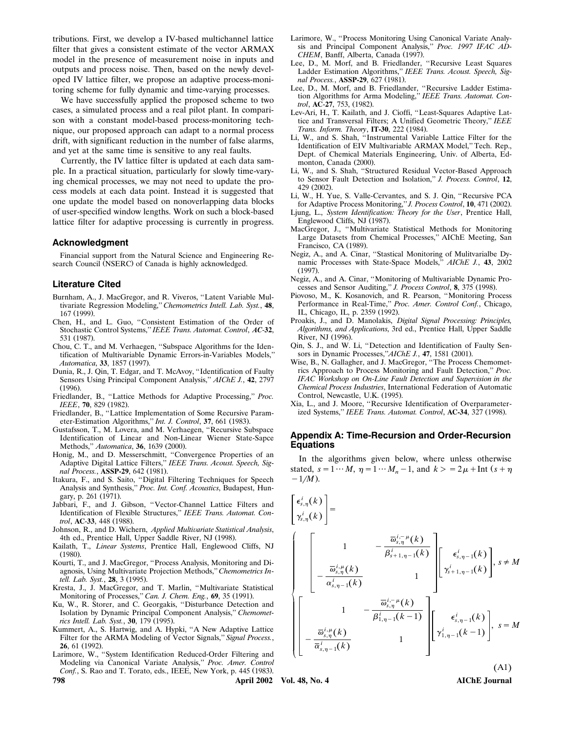tributions. First, we develop a IV-based multichannel lattice filter that gives a consistent estimate of the vector ARMAX model in the presence of measurement noise in inputs and outputs and process noise. Then, based on the newly developed IV lattice filter, we propose an adaptive process-monitoring scheme for fully dynamic and time-varying processes.

We have successfully applied the proposed scheme to two cases, a simulated process and a real pilot plant. In comparison with a constant model-based process-monitoring technique, our proposed approach can adapt to a normal process drift, with significant reduction in the number of false alarms, and yet at the same time is sensitive to any real faults.

Currently, the IV lattice filter is updated at each data sample. In a practical situation, particularly for slowly time-varying chemical processes, we may not need to update the process models at each data point. Instead it is suggested that one update the model based on nonoverlapping data blocks of user-specified window lengths. Work on such a block-based lattice filter for adaptive processing is currently in progress.

#### **Acknowledgment**

Financial support from the Natural Science and Engineering Research Council (NSERC) of Canada is highly acknowledged.

#### **Literature Cited**

- Burnham, A., J. MacGregor, and R. Viveros, ''Latent Variable Multivariate Regression Modeling,'' *Chemometrics Intell. Lab. Syst.*, **48**, 167 (1999).
- Chen, H., and L. Guo, ''Consistent Estimation of the Order of Stochastic Control Systems,'' *IEEE Trans. Automat. Control*, *AC*-**32**, 531 (1987).
- Chou, C. T., and M. Verhaegen, ''Subspace Algorithms for the Identification of Multivariable Dynamic Errors-in-Variables Models,'' *Automatica*, 33, 1857 (1997).
- Dunia, R., J. Qin, T. Edgar, and T. McAvoy, ''Identification of Faulty Sensors Using Principal Component Analysis,'' *AIChE J.*, **42**, 2797  $(1996).$
- Friedlander, B., ''Lattice Methods for Adaptive Processing,'' *Proc. IEEE*, 70, 829 (1982).
- Friedlander, B., ''Lattice Implementation of Some Recursive Parameter-Estimation Algorithms," *Int. J. Control*, 37, 661 (1983).
- Gustafsson, T., M. Lovera, and M. Verhaegen, ''Recursive Subspace Identification of Linear and Non-Linear Wiener State-Sapce Methods," *Automatica*, 36, 1639 (2000).
- Honig, M., and D. Messerschmitt, ''Convergence Properties of an Adaptive Digital Lattice Filters,'' *IEEE Trans. Acoust. Speech, Signal Process., ASSP-29, 642 (1981).*
- Itakura, F., and S. Saito, ''Digital Filtering Techniques for Speech Analysis and Synthesis,'' *Proc. Int. Conf. Acoustics*, Budapest, Hungary, p. 261 (1971).
- Jabbari, F., and J. Gibson, ''Vector-Channel Lattice Filters and Identification of Flexible Structures,'' *IEEE Trans. Automat. Control*, **AC-33**, 448 (1988).
- Johnson, R., and D. Wichern, *Applied Multivariate Statistical Analysis*, 4th ed., Prentice Hall, Upper Saddle River, NJ (1998).
- Kailath, T., *Linear Systems*, Prentice Hall, Englewood Cliffs, NJ  $(1980)$ .
- Kourti, T., and J. MacGregor, ''Process Analysis, Monitoring and Diagnosis, Using Multivariate Projection Methods,'' *Chemometrics Intell. Lab. Syst.*, **28**, 3 (1995).
- Kresta, J., J. MacGregor, and T. Marlin, ''Multivariate Statistical Monitoring of Processes," *Can. J. Chem. Eng.*, **69**, 35 (1991).
- Ku, W., R. Storer, and C. Georgakis, ''Disturbance Detection and Isolation by Dynamic Principal Component Analysis,'' *Chemometrics Intell. Lab. Syst.*, 30, 179 (1995).
- Kummert, A., S. Hartwig, and A. Hypki, ''A New Adaptive Lattice Filter for the ARMA Modeling of Vector Signals,'' *Signal Process.*, **26**, 61 (1992).
- Larimore, W., ''System Identification Reduced-Order Filtering and Modeling via Canonical Variate Analysis,'' *Proc. Amer. Control* Conf., S. Rao and T. Torato, eds., IEEE, New York, p. 445 (1983).
- **798 April 2002 Vol. 48, No. 4 AIChE Journal**
- Larimore, W., ''Process Monitoring Using Canonical Variate Analysis and Principal Component Analysis,'' *Proc. 1997 IFAC AD*-*CHEM*, Banff, Alberta, Canada (1997).
- Lee, D., M. Morf, and B. Friedlander, ''Recursive Least Squares Ladder Estimation Algorithms,'' *IEEE Trans. Acoust. Speech, Signal Process., ASSP-29, 627 (1981).*
- Lee, D., M. Morf, and B. Friedlander, ''Recursive Ladder Estimation Algorithms for Arma Modeling,'' *IEEE Trans. Automat. Control*, **AC-27**, 753, (1982).
- Lev-Ari, H., T. Kailath, and J. Cioffi, ''Least-Squares Adaptive Lattice and Transversal Filters; A Unified Geometric Theory,'' *IEEE Trans. Inform. Theory*, **IT-30**, 222 (1984).
- Li, W., and S. Shah, ''Instrumental Variable Lattice Filter for the Identification of EIV Multivariable ARMAX Model,'' Tech. Rep., Dept. of Chemical Materials Engineering, Univ. of Alberta, Edmonton, Canada (2000).
- Li, W., and S. Shah, ''Structured Residual Vector-Based Approach to Sensor Fault Detection and Isolation,'' *J. Process. Control*, **12**, 429 (2002).
- Li, W., H. Yue, S. Valle-Cervantes, and S. J. Qin, ''Recursive PCA for Adaptive Process Monitoring," *J. Process Control*, 10, 471 (2002).
- Ljung, L., *System Identification: Theory for the User*, Prentice Hall, Englewood Cliffs, NJ (1987).
- MacGregor, J., ''Multivariate Statistical Methods for Monitoring Large Datasets from Chemical Processes,'' AIChE Meeting, San Francisco, CA (1989).
- Negiz, A., and A. Cinar, ''Stastical Monitoring of Mulitvarialbe Dynamic Processes with State-Space Models,'' *AIChE J.*, **43**, 2002  $(1997)$ .
- Negiz, A., and A. Cinar, ''Monitoring of Multivariable Dynamic Processes and Sensor Auditing," *J. Process Control*, 8, 375 (1998).
- Piovoso, M., K. Kosanovich, and R. Pearson, ''Monitoring Process Performance in Real-Time,'' *Proc. Amer. Control Conf.*, Chicago, IL, Chicago, IL, p. 2359 (1992).
- Proakis, J., and D. Manolakis, *Digital Signal Processing: Principles, Algorithms, and Applications*, 3rd ed., Prentice Hall, Upper Saddle River, NJ (1996).
- Qin, S. J., and W. Li, ''Detection and Identification of Faulty Sensors in Dynamic Processes,"*AIChE J.*, **47**, 1581 (2001).
- Wise, B., N. Gallagher, and J. MacGregor, ''The Process Chemometrics Approach to Process Monitoring and Fault Detection,'' *Proc. IFAC Workshop on On-Line Fault Detection and Supervision in the Chemical Process Industries*, International Federation of Automatic Control, Newcastle, U.K. (1995).
- Xia, L., and J. Moore, ''Recursive Identification of Overparameterized Systems," IEEE Trans. Automat. Control, AC-34, 327 (1998).

# **Appendix A: Time-Recursion and Order-Recursion Equations**

In the algorithms given below, where unless otherwise stated,  $s = 1 \cdots M$ ,  $\eta = 1 \cdots M_n - 1$ , and  $k > 2\mu + \text{Int } (s + \eta)$  $-1/M$ ).

$$
\begin{bmatrix}\n\epsilon_{s,\eta}^{i}(k) \\
\gamma_{s,\eta}^{i}(k)\n\end{bmatrix} = \begin{bmatrix}\n1 & -\frac{\overline{\omega}_{s,\eta}^{i,-\mu}(k)}{\beta_{s+1,\eta-1}^{i}(k)} \\
-\frac{\overline{\omega}_{s,\eta}^{i,\mu}(k)}{\alpha_{s,\eta-1}^{i}(k)} & 1\n\end{bmatrix} \begin{bmatrix}\n\epsilon_{s,\eta-1}^{i}(k) \\
\gamma_{s+1,\eta-1}^{i}(k)\n\end{bmatrix}, s \neq M
$$
\n
$$
\begin{bmatrix}\n1 & -\frac{\overline{\omega}_{s,\eta}^{i,-\mu}(k)}{\beta_{s,\eta-1}^{i}(k-1)} \\
-\frac{\overline{\omega}_{s,\eta}^{i,\mu}(k)}{\alpha_{s,\eta-1}^{i}(k)} & 1\n\end{bmatrix} \begin{bmatrix}\n\epsilon_{s,\eta-1}^{i}(k) \\
\gamma_{s+1,\eta-1}^{i}(k-1)\n\end{bmatrix}, s = M
$$
\n(A1)